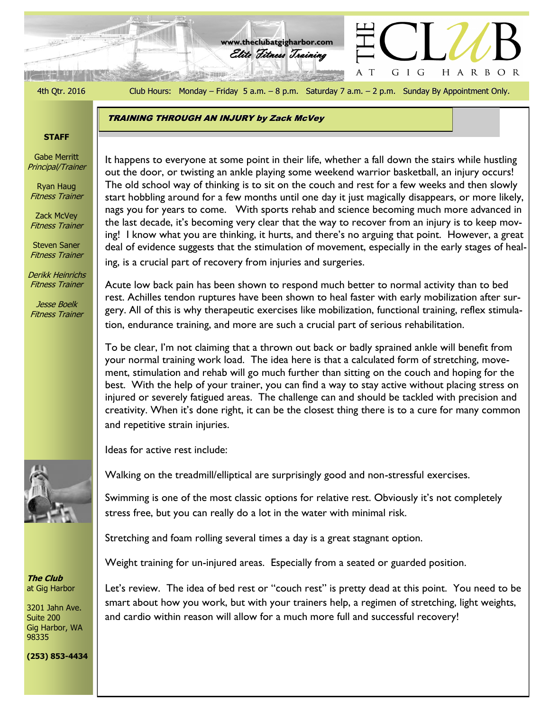الوقة كالمنتزلين

4th Qtr. 2016 Club Hours: Monday – Friday 5 a.m. – 8 p.m. Saturday 7 a.m. – 2 p.m. Sunday By Appointment Only.

HARBOR

GIG

 $\top$ 

Elite Fitness Training **www.theclubatgigharbor.com**

**TRAINING THROUGH AN INJURY by Zack McVey** 

#### **STAFF**

Gabe Merritt Principal/Trainer

Ryan Haug Fitness Trainer

Zack McVey Fitness Trainer

Steven Saner Fitness Trainer

Derikk Heinrichs Fitness Trainer

Jesse Boelk Fitness Trainer



**The Club** at Gig Harbor

3201 Jahn Ave. Suite 200 Gig Harbor, WA 98335

The Club at Gig Harbor out the door, or twisting an ankle playing some weekend warrior basketball, an injury occurs! It happens to everyone at some point in their life, whether a fall down the stairs while hustling The old school way of thinking is to sit on the couch and rest for a few weeks and then slowly start hobbling around for a few months until one day it just magically disappears, or more likely, nags you for years to come. With sports rehab and science becoming much more advanced in the last decade, it's becoming very clear that the way to recover from an injury is to keep moving! I know what you are thinking, it hurts, and there's no arguing that point. However, a great deal of evidence suggests that the stimulation of movement, especially in the early stages of healing, is a crucial part of recovery from injuries and surgeries.

Acute low back pain has been shown to respond much better to normal activity than to bed rest. Achilles tendon ruptures have been shown to heal faster with early mobilization after surgery. All of this is why therapeutic exercises like mobilization, functional training, reflex stimulation, endurance training, and more are such a crucial part of serious rehabilitation.

To be clear, I'm not claiming that a thrown out back or badly sprained ankle will benefit from your normal training work load. The idea here is that a calculated form of stretching, movement, stimulation and rehab will go much further than sitting on the couch and hoping for the best. With the help of your trainer, you can find a way to stay active without placing stress on injured or severely fatigued areas. The challenge can and should be tackled with precision and creativity. When it's done right, it can be the closest thing there is to a cure for many common and repetitive strain injuries.

Ideas for active rest include:

Walking on the treadmill/elliptical are surprisingly good and non-stressful exercises.

Swimming is one of the most classic options for relative rest. Obviously it's not completely stress free, but you can really do a lot in the water with minimal risk.

Stretching and foam rolling several times a day is a great stagnant option.

Weight training for un-injured areas. Especially from a seated or guarded position.

Let's review. The idea of bed rest or "couch rest" is pretty dead at this point. You need to be smart about how you work, but with your trainers help, a regimen of stretching, light weights, and cardio within reason will allow for a much more full and successful recovery!

**(253) 853-4434**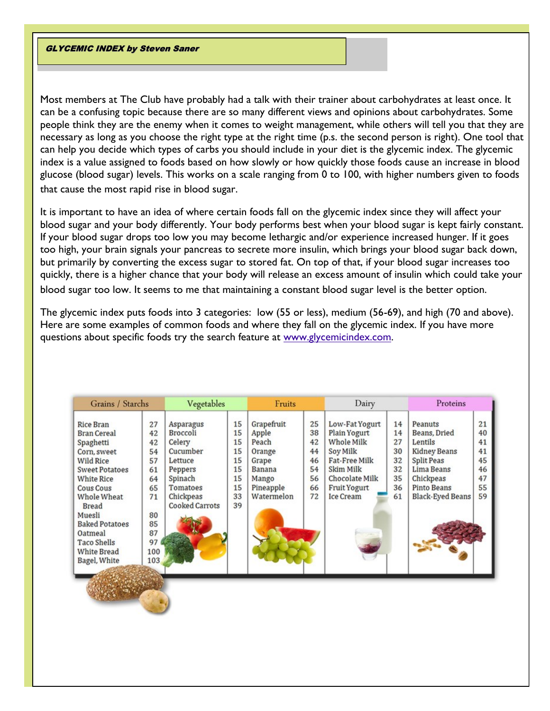**GLYCEMIC INDEX by Steven Saner** 

Most members at The Club have probably had a talk with their trainer about carbohydrates at least once. It can be a confusing topic because there are so many different views and opinions about carbohydrates. Some people think they are the enemy when it comes to weight management, while others will tell you that they are necessary as long as you choose the right type at the right time (p.s. the second person is right). One tool that can help you decide which types of carbs you should include in your diet is the glycemic index. The glycemic index is a value assigned to foods based on how slowly or how quickly those foods cause an increase in blood glucose (blood sugar) levels. This works on a scale ranging from 0 to 100, with higher numbers given to foods that cause the most rapid rise in blood sugar.

It is important to have an idea of where certain foods fall on the glycemic index since they will affect your blood sugar and your body differently. Your body performs best when your blood sugar is kept fairly constant. If your blood sugar drops too low you may become lethargic and/or experience increased hunger. If it goes too high, your brain signals your pancreas to secrete more insulin, which brings your blood sugar back down, but primarily by converting the excess sugar to stored fat. On top of that, if your blood sugar increases too quickly, there is a higher chance that your body will release an excess amount of insulin which could take your blood sugar too low. It seems to me that maintaining a constant blood sugar level is the better option.

The glycemic index puts foods into 3 categories: low (55 or less), medium (56-69), and high (70 and above). Here are some examples of common foods and where they fall on the glycemic index. If you have more questions about specific foods try the search feature at [www.glycemicindex.com.](http://www.glycemicindex.com)

| Grains / Starchs                                                                                                                                                                                                                                                                    |                                                                                          | Vegetables                                                                                                                     |                                                          | Fruits                                                                                               |                                                    | Dairy                                                                                                                                                             |                                                    | Proteins                                                                                                                                     |                                                    |
|-------------------------------------------------------------------------------------------------------------------------------------------------------------------------------------------------------------------------------------------------------------------------------------|------------------------------------------------------------------------------------------|--------------------------------------------------------------------------------------------------------------------------------|----------------------------------------------------------|------------------------------------------------------------------------------------------------------|----------------------------------------------------|-------------------------------------------------------------------------------------------------------------------------------------------------------------------|----------------------------------------------------|----------------------------------------------------------------------------------------------------------------------------------------------|----------------------------------------------------|
| Rice Bran<br><b>Bran Cereal</b><br>Spaghetti<br>Corn, sweet<br><b>Wild Rice</b><br><b>Sweet Potatoes</b><br><b>White Rice</b><br><b>Cous Cous</b><br>Whole Wheat<br><b>Bread</b><br>Muesli<br><b>Baked Potatoes</b><br>Oatmeal<br>Taco Shells<br><b>White Bread</b><br>Bagel, White | 27<br>42<br>42<br>54<br>57<br>61<br>64<br>65<br>71<br>80<br>85<br>87<br>97<br>100<br>103 | Asparagus<br>Broccoli<br>Celery<br>Cucumber<br>Lettuce<br>Peppers<br>Spinach<br>Tomatoes<br>Chickpeas<br><b>Cooked Carrots</b> | 15<br>15<br>15<br>15<br>15<br>15<br>15<br>15<br>33<br>39 | Grapefruit<br>Apple<br>Peach<br>Orange<br>Grape<br><b>Banana</b><br>Mango<br>Pineapple<br>Watermelon | 25<br>38<br>42<br>44<br>46<br>54<br>56<br>66<br>72 | Low-Fat Yogurt<br>Plain Yogurt<br><b>Whole Milk</b><br>Soy Milk<br><b>Fat-Free Milk</b><br>Skim Milk<br>Chocolate Milk<br><b>Fruit Yogurt</b><br><b>Ice Cream</b> | 14<br>14<br>27<br>30<br>32<br>32<br>35<br>36<br>61 | Peanuts<br>Beans, Dried<br>Lentils<br><b>Kidney Beans</b><br>Split Peas<br>Lima Beans<br>Chickpeas<br>Pinto Beans<br><b>Black-Eyed Beans</b> | 21<br>40<br>41<br>41<br>45<br>46<br>47<br>55<br>59 |
|                                                                                                                                                                                                                                                                                     |                                                                                          |                                                                                                                                |                                                          |                                                                                                      |                                                    |                                                                                                                                                                   |                                                    |                                                                                                                                              |                                                    |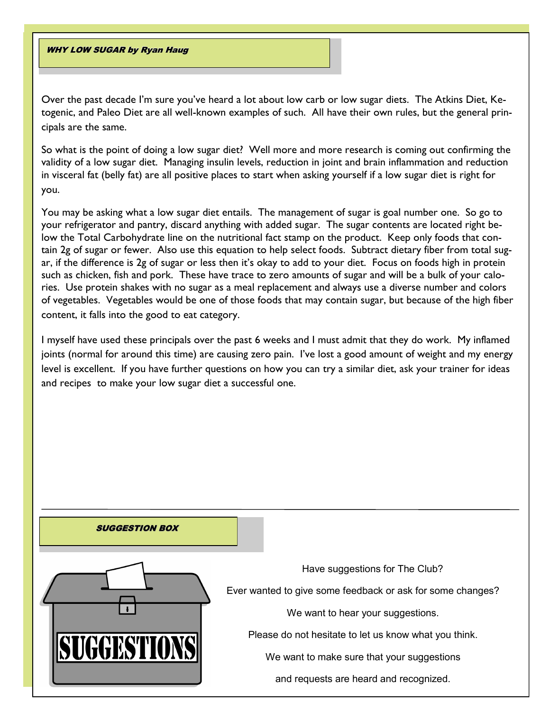## WHY LOW SUGAR by Ryan Haug

Over the past decade I'm sure you've heard a lot about low carb or low sugar diets. The Atkins Diet, Ketogenic, and Paleo Diet are all well-known examples of such. All have their own rules, but the general principals are the same.

So what is the point of doing a low sugar diet? Well more and more research is coming out confirming the validity of a low sugar diet. Managing insulin levels, reduction in joint and brain inflammation and reduction in visceral fat (belly fat) are all positive places to start when asking yourself if a low sugar diet is right for you.

You may be asking what a low sugar diet entails. The management of sugar is goal number one. So go to your refrigerator and pantry, discard anything with added sugar. The sugar contents are located right below the Total Carbohydrate line on the nutritional fact stamp on the product. Keep only foods that contain 2g of sugar or fewer. Also use this equation to help select foods. Subtract dietary fiber from total sugar, if the difference is 2g of sugar or less then it's okay to add to your diet. Focus on foods high in protein such as chicken, fish and pork. These have trace to zero amounts of sugar and will be a bulk of your calories. Use protein shakes with no sugar as a meal replacement and always use a diverse number and colors of vegetables. Vegetables would be one of those foods that may contain sugar, but because of the high fiber content, it falls into the good to eat category.

I myself have used these principals over the past 6 weeks and I must admit that they do work. My inflamed joints (normal for around this time) are causing zero pain. I've lost a good amount of weight and my energy level is excellent. If you have further questions on how you can try a similar diet, ask your trainer for ideas and recipes to make your low sugar diet a successful one.

#### SUGGESTION BOX



Have suggestions for The Club?

Ever wanted to give some feedback or ask for some changes?

We want to hear your suggestions.

Please do not hesitate to let us know what you think.

We want to make sure that your suggestions

and requests are heard and recognized.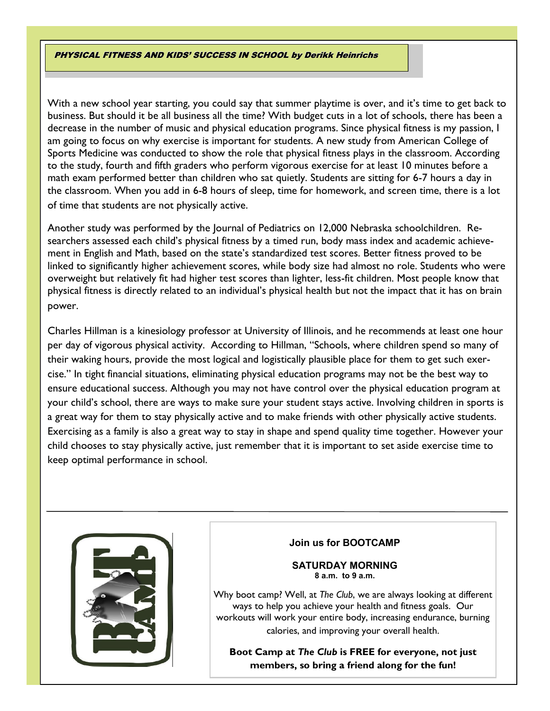## PHYSICAL FITNESS AND KIDS' SUCCESS IN SCHOOL by Derikk Heinrichs

With a new school year starting, you could say that summer playtime is over, and it's time to get back to business. But should it be all business all the time? With budget cuts in a lot of schools, there has been a decrease in the number of music and physical education programs. Since physical fitness is my passion, I am going to focus on why exercise is important for students. A new study from American College of Sports Medicine was conducted to show the role that physical fitness plays in the classroom. According to the study, fourth and fifth graders who perform vigorous exercise for at least 10 minutes before a math exam performed better than children who sat quietly. Students are sitting for 6-7 hours a day in the classroom. When you add in 6-8 hours of sleep, time for homework, and screen time, there is a lot of time that students are not physically active.

Another study was performed by the Journal of Pediatrics on 12,000 Nebraska schoolchildren. Researchers assessed each child's physical fitness by a timed run, body mass index and academic achievement in English and Math, based on the state's standardized test scores. Better fitness proved to be linked to significantly higher achievement scores, while body size had almost no role. Students who were overweight but relatively fit had higher test scores than lighter, less-fit children. Most people know that physical fitness is directly related to an individual's physical health but not the impact that it has on brain power.

Charles Hillman is a kinesiology professor at University of Illinois, and he recommends at least one hour per day of vigorous physical activity. According to Hillman, "Schools, where children spend so many of their waking hours, provide the most logical and logistically plausible place for them to get such exercise." In tight financial situations, eliminating physical education programs may not be the best way to ensure educational success. Although you may not have control over the physical education program at your child's school, there are ways to make sure your student stays active. Involving children in sports is a great way for them to stay physically active and to make friends with other physically active students. Exercising as a family is also a great way to stay in shape and spend quality time together. However your child chooses to stay physically active, just remember that it is important to set aside exercise time to keep optimal performance in school.



## **Join us for BOOTCAMP**

**SATURDAY MORNING 8 a.m. to 9 a.m.**

Why boot camp? Well, at *The Club*, we are always looking at different ways to help you achieve your health and fitness goals. Our workouts will work your entire body, increasing endurance, burning calories, and improving your overall health.

**Boot Camp at** *The Club* **is FREE for everyone, not just members, so bring a friend along for the fun!**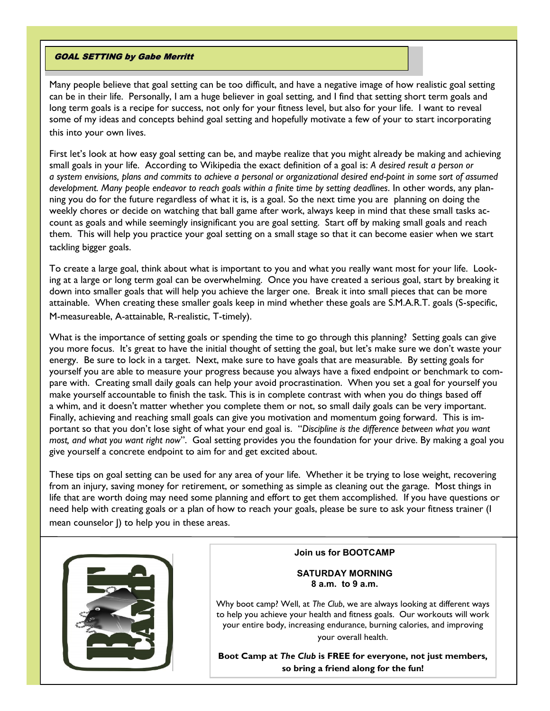### GOAL SETTING by Gabe Merritt

Many people believe that goal setting can be too difficult, and have a negative image of how realistic goal setting can be in their life. Personally, I am a huge believer in goal setting, and I find that setting short term goals and long term goals is a recipe for success, not only for your fitness level, but also for your life. I want to reveal some of my ideas and concepts behind goal setting and hopefully motivate a few of your to start incorporating this into your own lives.

First let's look at how easy goal setting can be, and maybe realize that you might already be making and achieving small goals in your life. According to Wikipedia the exact definition of a goal is: *A desired result a person or a system envisions, plans and commits to achieve a personal or organizational desired end-point in some sort of assumed development. Many people endeavor to reach goals within a finite time by setting deadlines*. In other words, any planning you do for the future regardless of what it is, is a goal. So the next time you are planning on doing the weekly chores or decide on watching that ball game after work, always keep in mind that these small tasks account as goals and while seemingly insignificant you are goal setting. Start off by making small goals and reach them. This will help you practice your goal setting on a small stage so that it can become easier when we start tackling bigger goals.

To create a large goal, think about what is important to you and what you really want most for your life. Looking at a large or long term goal can be overwhelming. Once you have created a serious goal, start by breaking it down into smaller goals that will help you achieve the larger one. Break it into small pieces that can be more attainable. When creating these smaller goals keep in mind whether these goals are S.M.A.R.T. goals (S-specific,

M-measureable, A-attainable, R-realistic, T-timely).

What is the importance of setting goals or spending the time to go through this planning? Setting goals can give you more focus. It's great to have the initial thought of setting the goal, but let's make sure we don't waste your energy. Be sure to lock in a target. Next, make sure to have goals that are measurable. By setting goals for yourself you are able to measure your progress because you always have a fixed endpoint or benchmark to compare with. Creating small daily goals can help your avoid procrastination. When you set a goal for yourself you make yourself accountable to finish the task. This is in complete contrast with when you do things based off a whim, and it doesn't matter whether you complete them or not, so small daily goals can be very important. Finally, achieving and reaching small goals can give you motivation and momentum going forward. This is important so that you don't lose sight of what your end goal is. "*Discipline is the difference between what you want most, and what you want right now*". Goal setting provides you the foundation for your drive. By making a goal you give yourself a concrete endpoint to aim for and get excited about.

These tips on goal setting can be used for any area of your life. Whether it be trying to lose weight, recovering from an injury, saving money for retirement, or something as simple as cleaning out the garage. Most things in life that are worth doing may need some planning and effort to get them accomplished. If you have questions or need help with creating goals or a plan of how to reach your goals, please be sure to ask your fitness trainer (I mean counselor J) to help you in these areas.



### **Join us for BOOTCAMP**

## **SATURDAY MORNING 8 a.m. to 9 a.m.**

Why boot camp? Well, at *The Club*, we are always looking at different ways to help you achieve your health and fitness goals. Our workouts will work your entire body, increasing endurance, burning calories, and improving your overall health.

**Boot Camp at** *The Club* **is FREE for everyone, not just members, so bring a friend along for the fun!**